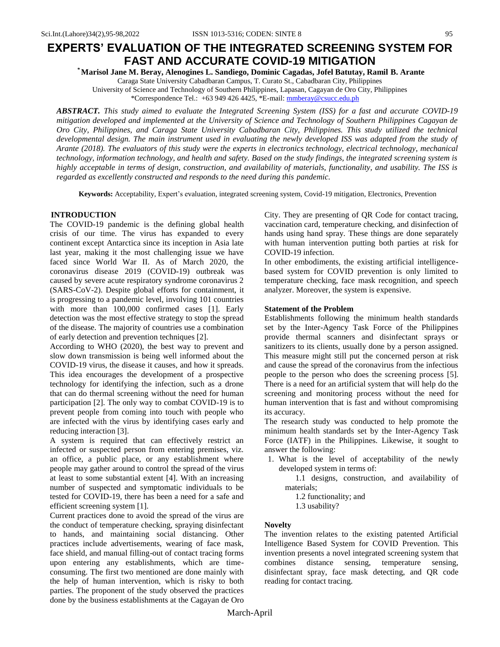*\** **Marisol Jane M. Beray, Alenogines L. Sandiego, Dominic Cagadas, Jofel Batutay, Ramil B. Arante**

Caraga State University Cabadbaran Campus, T. Curato St., Cabadbaran City, Philippines University of Science and Technology of Southern Philippines, Lapasan, Cagayan de Oro City, Philippines \*Correspondence Tel.: +63 949 426 4425, \*E-mail: [mmberay@csucc.edu.ph](about:blank)

**ABSTRACT.** This study aimed to evaluate the Integrated Screening System (ISS) for a fast and accurate COVID-19 *mitigation developed and implemented at the University of Science and Technology of Southern Philippines Cagayan de Oro City, Philippines, and Caraga State University Cabadbaran City, Philippines. This study utilized the technical*  developmental design. The main instrument used in evaluating the newly developed ISS was adapted from the study of *Arante (2018). The evaluators of this study were the experts in electronics technology, electrical technology, mechanical technology, information technology, and health and safety. Based on the study findings, the integrated screening system is highly acceptable in terms of design, construction, and availability of materials, functionality, and usability. The ISS is regarded as excellently constructed and responds to the need during this pandemic.*

**Keywords:** Acceptability, Expert's evaluation, integrated screening system, Covid-19 mitigation, Electronics, Prevention

### **INTRODUCTION**

The COVID-19 pandemic is the defining global health crisis of our time. The virus has expanded to every continent except Antarctica since its inception in Asia late last year, making it the most challenging issue we have faced since World War II. As of March 2020, the coronavirus disease 2019 (COVID-19) outbreak was caused by severe acute respiratory syndrome coronavirus 2 (SARS-CoV-2). Despite global efforts for containment, it is progressing to a pandemic level, involving 101 countries with more than 100,000 confirmed cases [1]. Early detection was the most effective strategy to stop the spread of the disease. The majority of countries use a combination of early detection and prevention techniques [2].

According to WHO (2020), the best way to prevent and slow down transmission is being well informed about the COVID-19 virus, the disease it causes, and how it spreads. This idea encourages the development of a prospective technology for identifying the infection, such as a drone that can do thermal screening without the need for human participation [2]. The only way to combat COVID-19 is to prevent people from coming into touch with people who are infected with the virus by identifying cases early and reducing interaction [3].

A system is required that can effectively restrict an infected or suspected person from entering premises, viz. an office, a public place, or any establishment where people may gather around to control the spread of the virus at least to some substantial extent [4]. With an increasing number of suspected and symptomatic individuals to be tested for COVID-19, there has been a need for a safe and efficient screening system [1].

Current practices done to avoid the spread of the virus are the conduct of temperature checking, spraying disinfectant to hands, and maintaining social distancing. Other practices include advertisements, wearing of face mask, face shield, and manual filling-out of contact tracing forms upon entering any establishments, which are timeconsuming. The first two mentioned are done mainly with the help of human intervention, which is risky to both parties. The proponent of the study observed the practices done by the business establishments at the Cagayan de Oro City. They are presenting of QR Code for contact tracing, vaccination card, temperature checking, and disinfection of hands using hand spray. These things are done separately with human intervention putting both parties at risk for COVID-19 infection.

In other embodiments, the existing artificial intelligencebased system for COVID prevention is only limited to temperature checking, face mask recognition, and speech analyzer. Moreover, the system is expensive.

### **Statement of the Problem**

Establishments following the minimum health standards set by the Inter-Agency Task Force of the Philippines provide thermal scanners and disinfectant sprays or sanitizers to its clients, usually done by a person assigned. This measure might still put the concerned person at risk and cause the spread of the coronavirus from the infectious people to the person who does the screening process [5]. There is a need for an artificial system that will help do the screening and monitoring process without the need for human intervention that is fast and without compromising its accuracy.

The research study was conducted to help promote the minimum health standards set by the Inter-Agency Task Force (IATF) in the Philippines. Likewise, it sought to answer the following:

1. What is the level of acceptability of the newly developed system in terms of:

 1.1 designs, construction, and availability of materials;

1.2 functionality; and

1.3 usability?

### **Novelty**

The invention relates to the existing patented Artificial Intelligence Based System for COVID Prevention. This invention presents a novel integrated screening system that combines distance sensing, temperature sensing, disinfectant spray, face mask detecting, and QR code reading for contact tracing.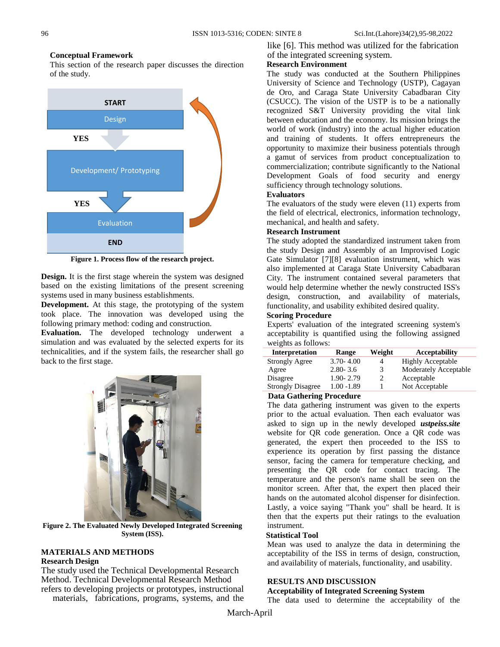#### **Conceptual Framework**

This section of the research paper discusses the direction of the study.



**Figure 1. Process flow of the research project.**

**Design.** It is the first stage wherein the system was designed based on the existing limitations of the present screening systems used in many business establishments.

**Development.** At this stage, the prototyping of the system took place. The innovation was developed using the following primary method: coding and construction.

**Evaluation.** The developed technology underwent a simulation and was evaluated by the selected experts for its technicalities, and if the system fails, the researcher shall go back to the first stage.



**Figure 2. The Evaluated Newly Developed Integrated Screening System (ISS).**

# **MATERIALS AND METHODS Research Design**

The study used the Technical Developmental Research Method. Technical Developmental Research Method refers to developing projects or prototypes, instructional materials, fabrications, programs, systems, and the like [6]. This method was utilized for the fabrication of the integrated screening system.

# **Research Environment**

The study was conducted at the Southern Philippines University of Science and Technology (USTP), Cagayan de Oro, and Caraga State University Cabadbaran City (CSUCC). The vision of the USTP is to be a nationally recognized S&T University providing the vital link between education and the economy. Its mission brings the world of work (industry) into the actual higher education and training of students. It offers entrepreneurs the opportunity to maximize their business potentials through a gamut of services from product conceptualization to commercialization; contribute significantly to the National Development Goals of food security and energy sufficiency through technology solutions.

### **Evaluators**

The evaluators of the study were eleven (11) experts from the field of electrical, electronics, information technology, mechanical, and health and safety.

### **Research Instrument**

The study adopted the standardized instrument taken from the study Design and Assembly of an Improvised Logic Gate Simulator [7][8] evaluation instrument, which was also implemented at Caraga State University Cabadbaran City. The instrument contained several parameters that would help determine whether the newly constructed ISS's design, construction, and availability of materials, functionality, and usability exhibited desired quality.

# **Scoring Procedure**

Experts' evaluation of the integrated screening system's acceptability is quantified using the following assigned weights as follows:

| <b>Interpretation</b>    | Range         | Weight | <b>Acceptability</b>         |
|--------------------------|---------------|--------|------------------------------|
| <b>Strongly Agree</b>    | $3.70 - 4.00$ |        | <b>Highly Acceptable</b>     |
| Agree                    | $2.80 - 3.6$  | 3      | <b>Moderately Acceptable</b> |
| Disagree                 | $1.90 - 2.79$ |        | Acceptable                   |
| <b>Strongly Disagree</b> | $1.00 - 1.89$ |        | Not Acceptable               |
|                          |               |        |                              |

# **Data Gathering Procedure**

The data gathering instrument was given to the experts prior to the actual evaluation. Then each evaluator was asked to sign up in the newly developed *ustpeiss.site*  website for QR code generation. Once a QR code was generated, the expert then proceeded to the ISS to experience its operation by first passing the distance sensor, facing the camera for temperature checking, and presenting the QR code for contact tracing. The temperature and the person's name shall be seen on the monitor screen. After that, the expert then placed their hands on the automated alcohol dispenser for disinfection. Lastly, a voice saying "Thank you" shall be heard. It is then that the experts put their ratings to the evaluation instrument.

### **Statistical Tool**

Mean was used to analyze the data in determining the acceptability of the ISS in terms of design, construction, and availability of materials, functionality, and usability.

### **RESULTS AND DISCUSSION**

### **Acceptability of Integrated Screening System**

The data used to determine the acceptability of the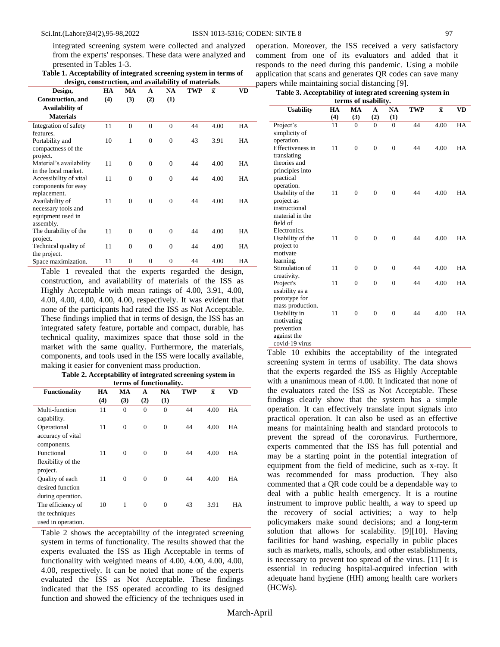integrated screening system were collected and analyzed from the experts' responses. These data were analyzed and presented in Tables 1-3.

| Table 1. Acceptability of integrated screening system in terms of |
|-------------------------------------------------------------------|
| design, construction, and availability of materials.              |

| Design,                   | HA  | МA           | A              | <b>NA</b>    | <b>TWP</b> | $\bar{\mathbf{x}}$ | VD |
|---------------------------|-----|--------------|----------------|--------------|------------|--------------------|----|
| <b>Construction</b> , and | (4) | (3)          | (2)            | (1)          |            |                    |    |
| Availability of           |     |              |                |              |            |                    |    |
| <b>Materials</b>          |     |              |                |              |            |                    |    |
| Integration of safety     | 11  | $\theta$     | $\theta$       | $\theta$     | 44         | 4.00               | HA |
| features.                 |     |              |                |              |            |                    |    |
| Portability and           | 10  | 1            | $\theta$       | $\mathbf{0}$ | 43         | 3.91               | HA |
| compactness of the        |     |              |                |              |            |                    |    |
| project.                  |     |              |                |              |            |                    |    |
| Material's availability   | 11  | $\theta$     | $\theta$       | $\Omega$     | 44         | 4.00               | HA |
| in the local market.      |     |              |                |              |            |                    |    |
| Accessibility of vital    | 11  | $\theta$     | $\theta$       | $\theta$     | 44         | 4.00               | HA |
| components for easy       |     |              |                |              |            |                    |    |
| replacement.              |     |              |                |              |            |                    |    |
| Availability of           | 11  | $\Omega$     | $\overline{0}$ | $\Omega$     | 44         | 4.00               | HA |
| necessary tools and       |     |              |                |              |            |                    |    |
| equipment used in         |     |              |                |              |            |                    |    |
| assembly.                 |     |              |                |              |            |                    |    |
| The durability of the     | 11  | $\Omega$     | $\theta$       | $\theta$     | 44         | 4.00               | HA |
| project.                  |     |              |                |              |            |                    |    |
| Technical quality of      | 11  | $\Omega$     | $\theta$       | $\theta$     | 44         | 4.00               | HA |
| the project.              |     |              |                |              |            |                    |    |
| Space maximization.       | 11  | $\mathbf{0}$ | $\mathbf{0}$   | $\theta$     | 44         | 4.00               | HA |

Table 1 revealed that the experts regarded the design, construction, and availability of materials of the ISS as Highly Acceptable with mean ratings of 4.00, 3.91, 4.00, 4.00, 4.00, 4.00, 4.00, 4.00, respectively. It was evident that none of the participants had rated the ISS as Not Acceptable. These findings implied that in terms of design, the ISS has an integrated safety feature, portable and compact, durable, has technical quality, maximizes space that those sold in the market with the same quality. Furthermore, the materials, components, and tools used in the ISS were locally available, making it easier for convenient mass production.

**Table 2. Acceptability of integrated screening system in terms of functionality.**

| ici ins of functionality.                                                      |     |                |          |                |            |                    |           |  |
|--------------------------------------------------------------------------------|-----|----------------|----------|----------------|------------|--------------------|-----------|--|
| <b>Functionality</b>                                                           | HA  | МA             | A        | NA             | <b>TWP</b> | $\bar{\mathbf{x}}$ | <b>VD</b> |  |
|                                                                                | (4) | (3)            | (2)      | (1)            |            |                    |           |  |
| Multi-function<br>capability.                                                  | 11  | $\theta$       | $\theta$ | $\overline{0}$ | 44         | 4.00               | HA        |  |
| Operational<br>accuracy of vital                                               | 11  | $\theta$       | $\theta$ | $\Omega$       | 44         | 4.00               | HA        |  |
| components.<br>Functional<br>flexibility of the                                | 11  | $\theta$       | $\theta$ | $\Omega$       | 44         | 4.00               | HA        |  |
| project.<br>Quality of each<br>desired function                                | 11  | $\overline{0}$ | $\theta$ | $\Omega$       | 44         | 4.00               | HA        |  |
| during operation.<br>The efficiency of<br>the techniques<br>used in operation. | 10  | 1              | $\theta$ | $\mathbf{0}$   | 43         | 3.91               | HA        |  |

Table 2 shows the acceptability of the integrated screening system in terms of functionality. The results showed that the experts evaluated the ISS as High Acceptable in terms of functionality with weighted means of 4.00, 4.00, 4.00, 4.00, 4.00, respectively. It can be noted that none of the experts evaluated the ISS as Not Acceptable. These findings indicated that the ISS operated according to its designed function and showed the efficiency of the techniques used in operation. Moreover, the ISS received a very satisfactory comment from one of its evaluators and added that it responds to the need during this pandemic. Using a mobile application that scans and generates QR codes can save many papers while maintaining social distancing [9].

| Table 3. Acceptability of integrated screening system in                                     |     |                |                |                |            |                    |           |
|----------------------------------------------------------------------------------------------|-----|----------------|----------------|----------------|------------|--------------------|-----------|
| terms of usability.                                                                          |     |                |                |                |            |                    |           |
| <b>Usability</b>                                                                             | HA  | МA             | $\mathbf{A}$   | NA             | <b>TWP</b> | $\bar{\mathbf{x}}$ | <b>VD</b> |
|                                                                                              | (4) | (3)            | (2)            | (1)            |            |                    |           |
| Project's<br>simplicity of<br>operation.                                                     | 11  | $\theta$       | $\theta$       | $\theta$       | 44         | 4.00               | HA        |
| Effectiveness in<br>translating<br>theories and<br>principles into<br>practical              | 11  | $\overline{0}$ | $\theta$       | $\overline{0}$ | 44         | 4.00               | HA        |
| operation.<br>Usability of the<br>project as<br>instructional<br>material in the<br>field of | 11  | $\theta$       | $\overline{0}$ | $\overline{0}$ | 44         | 4.00               | HA        |
| Electronics.<br>Usability of the<br>project to<br>motivate<br>learning.                      | 11  | $\theta$       | $\theta$       | $\theta$       | 44         | 4.00               | HA        |
| Stimulation of<br>creativity.                                                                | 11  | $\overline{0}$ | $\Omega$       | $\overline{0}$ | 44         | 4.00               | HA        |
| Project's<br>usability as a<br>prototype for<br>mass production.                             | 11  | $\overline{0}$ | $\overline{0}$ | $\overline{0}$ | 44         | 4.00               | HA        |
| Usability in<br>motivating<br>prevention<br>against the<br>covid-19 virus                    | 11  | $\theta$       | $\theta$       | $\theta$       | 44         | 4.00               | HA        |

Table 10 exhibits the acceptability of the integrated screening system in terms of usability. The data shows that the experts regarded the ISS as Highly Acceptable with a unanimous mean of 4.00. It indicated that none of the evaluators rated the ISS as Not Acceptable. These findings clearly show that the system has a simple operation. It can effectively translate input signals into practical operation. It can also be used as an effective means for maintaining health and standard protocols to prevent the spread of the coronavirus. Furthermore, experts commented that the ISS has full potential and may be a starting point in the potential integration of equipment from the field of medicine, such as x-ray. It was recommended for mass production. They also commented that a QR code could be a dependable way to deal with a public health emergency. It is a routine instrument to improve public health, a way to speed up the recovery of social activities; a way to help policymakers make sound decisions; and a long-term solution that allows for scalability. [9][10]. Having facilities for hand washing, especially in public places such as markets, malls, schools, and other establishments, is necessary to prevent too spread of the virus. [11] It is essential in reducing hospital-acquired infection with adequate hand hygiene (HH) among health care workers (HCWs).